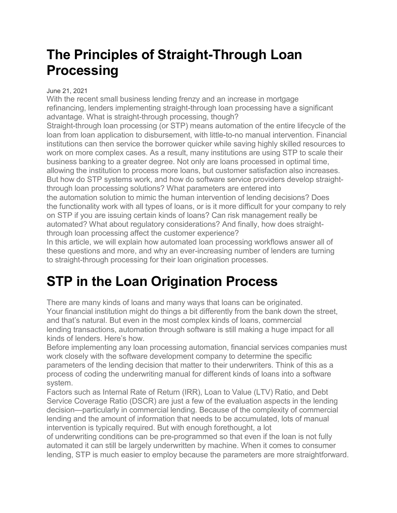### **The Principles of Straight-Through Loan Processing**

#### June 21, 2021

With the recent small business lending frenzy and an increase in mortgage refinancing, lenders implementing straight-through loan processing have a significant advantage. What is straight-through processing, though?

Straight-through loan processing (or STP) means automation of the entire lifecycle of the loan from loan application to disbursement, with little-to-no manual intervention. Financial institutions can then service the borrower quicker while saving highly skilled resources to work on more complex cases. As a result, many institutions are using STP to scale their business banking to a greater degree. Not only are loans processed in optimal time, allowing the institution to process more loans, but customer satisfaction also increases. But how do STP systems work, and how do software service providers develop straightthrough loan processing solutions? What parameters are entered into

the automation solution to mimic the human intervention of lending decisions? Does the functionality work with all types of loans, or is it more difficult for your company to rely on STP if you are issuing certain kinds of loans? Can risk management really be automated? What about regulatory considerations? And finally, how does straightthrough loan processing affect the customer experience?

In this article, we will explain how automated loan processing workflows answer all of these questions and more, and why an ever-increasing number of lenders are turning to straight-through processing for their loan origination processes.

## **STP in the Loan Origination Process**

There are many kinds of loans and many ways that loans can be originated. Your financial institution might do things a bit differently from the bank down the street, and that's natural. But even in the most complex kinds of loans, commercial lending transactions, automation through software is still making a huge impact for all kinds of lenders. Here's how.

Before implementing any loan processing automation, financial services companies must work closely with the software development company to determine the specific parameters of the lending decision that matter to their underwriters. Think of this as a process of coding the underwriting manual for different kinds of loans into a software system.

Factors such as Internal Rate of Return (IRR), Loan to Value (LTV) Ratio, and Debt Service Coverage Ratio (DSCR) are just a few of the evaluation aspects in the lending decision—particularly in commercial lending. Because of the complexity of commercial lending and the amount of information that needs to be accumulated, lots of manual intervention is typically required. But with enough forethought, a lot

of underwriting conditions can be pre-programmed so that even if the loan is not fully automated it can still be largely underwritten by machine. When it comes to consumer lending, STP is much easier to employ because the parameters are more straightforward.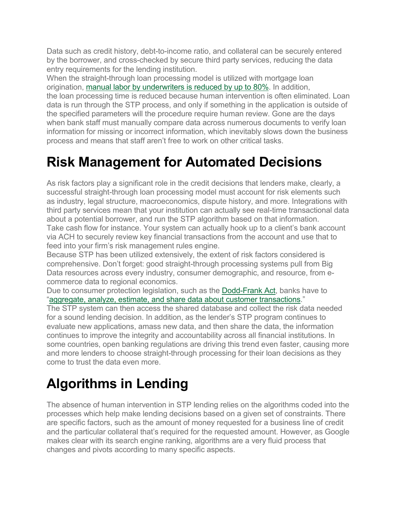Data such as credit history, debt-to-income ratio, and collateral can be securely entered by the borrower, and cross-checked by secure third party services, reducing the data entry requirements for the lending institution.

When the straight-through loan processing model is utilized with mortgage loan origination, manual labor by [underwriters](https://mortgageorb.com/using-a-straight-through-processing-model-can-boost-loan-quality-and-reduce-origination-costs) is reduced by up to 80%. In addition, the loan processing time is reduced because human intervention is often eliminated. Loan data is run through the STP process, and only if something in the application is outside of the specified parameters will the procedure require human review. Gone are the days when bank staff must manually compare data across numerous documents to verify loan information for missing or incorrect information, which inevitably slows down the business process and means that staff aren't free to work on other critical tasks.

## **Risk Management for Automated Decisions**

As risk factors play a significant role in the credit decisions that lenders make, clearly, a successful straight-through loan processing model must account for risk elements such as industry, legal structure, macroeconomics, dispute history, and more. Integrations with third party services mean that your institution can actually see real-time transactional data about a potential borrower, and run the STP algorithm based on that information. Take cash flow for instance. Your system can actually hook up to a client's bank account via ACH to securely review key financial transactions from the account and use that to feed into your firm's risk management rules engine.

Because STP has been utilized extensively, the extent of risk factors considered is comprehensive. Don't forget: good straight-through processing systems pull from Big Data resources across every industry, consumer demographic, and resource, from ecommerce data to regional economics.

Due to consumer protection legislation, such as the [Dodd-Frank](https://en.wikipedia.org/wiki/Dodd%E2%80%93Frank_Wall_Street_Reform_and_Consumer_Protection_Act) Act, banks have to "aggregate, analyze, estimate, and share data about customer [transactions.](https://www.infosys.com/industries/financial-services/Documents/straight-through-processing-commercial-banking.pdf)"

The STP system can then access the shared database and collect the risk data needed for a sound lending decision. In addition, as the lender's STP program continues to evaluate new applications, amass new data, and then share the data, the information continues to improve the integrity and accountability across all financial institutions. In some countries, open banking regulations are driving this trend even faster, causing more and more lenders to choose straight-through processing for their loan decisions as they come to trust the data even more.

# **Algorithms in Lending**

The absence of human intervention in STP lending relies on the algorithms coded into the processes which help make lending decisions based on a given set of constraints. There are specific factors, such as the amount of money requested for a business line of credit and the particular collateral that's required for the requested amount. However, as Google makes clear with its search engine ranking, algorithms are a very fluid process that changes and pivots according to many specific aspects.